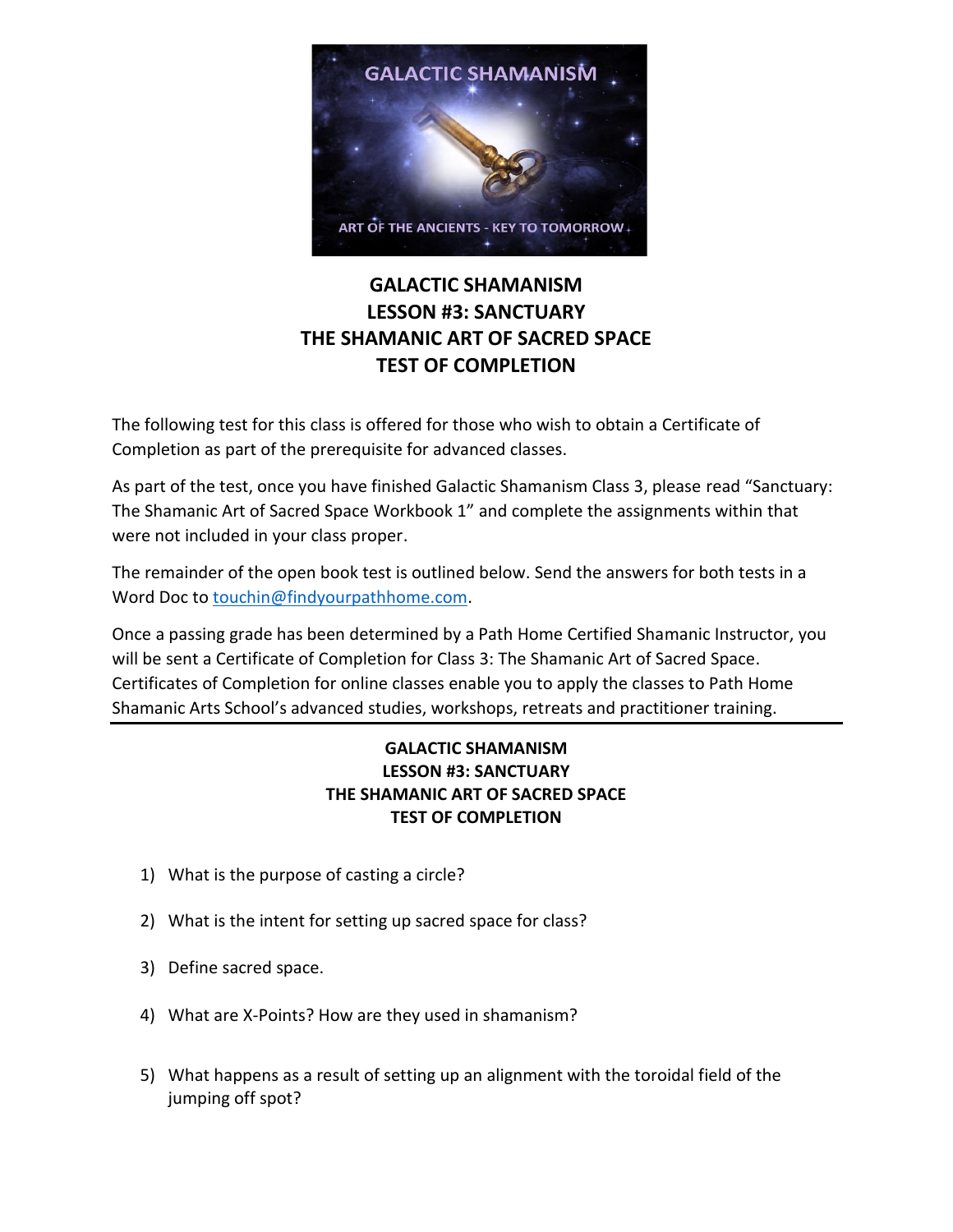

## **GALACTIC SHAMANISM LESSON #3: SANCTUARY THE SHAMANIC ART OF SACRED SPACE TEST OF COMPLETION**

The following test for this class is offered for those who wish to obtain a Certificate of Completion as part of the prerequisite for advanced classes.

As part of the test, once you have finished Galactic Shamanism Class 3, please read "Sanctuary: The Shamanic Art of Sacred Space Workbook 1" and complete the assignments within that were not included in your class proper.

The remainder of the open book test is outlined below. Send the answers for both tests in a Word Doc to [touchin@findyourpathhome.com.](mailto:touchin@findyourpathhome.com)

Once a passing grade has been determined by a Path Home Certified Shamanic Instructor, you will be sent a Certificate of Completion for Class 3: The Shamanic Art of Sacred Space. Certificates of Completion for online classes enable you to apply the classes to Path Home Shamanic Arts School's advanced studies, workshops, retreats and practitioner training.

## **GALACTIC SHAMANISM LESSON #3: SANCTUARY THE SHAMANIC ART OF SACRED SPACE TEST OF COMPLETION**

- 1) What is the purpose of casting a circle?
- 2) What is the intent for setting up sacred space for class?
- 3) Define sacred space.
- 4) What are X-Points? How are they used in shamanism?
- 5) What happens as a result of setting up an alignment with the toroidal field of the jumping off spot?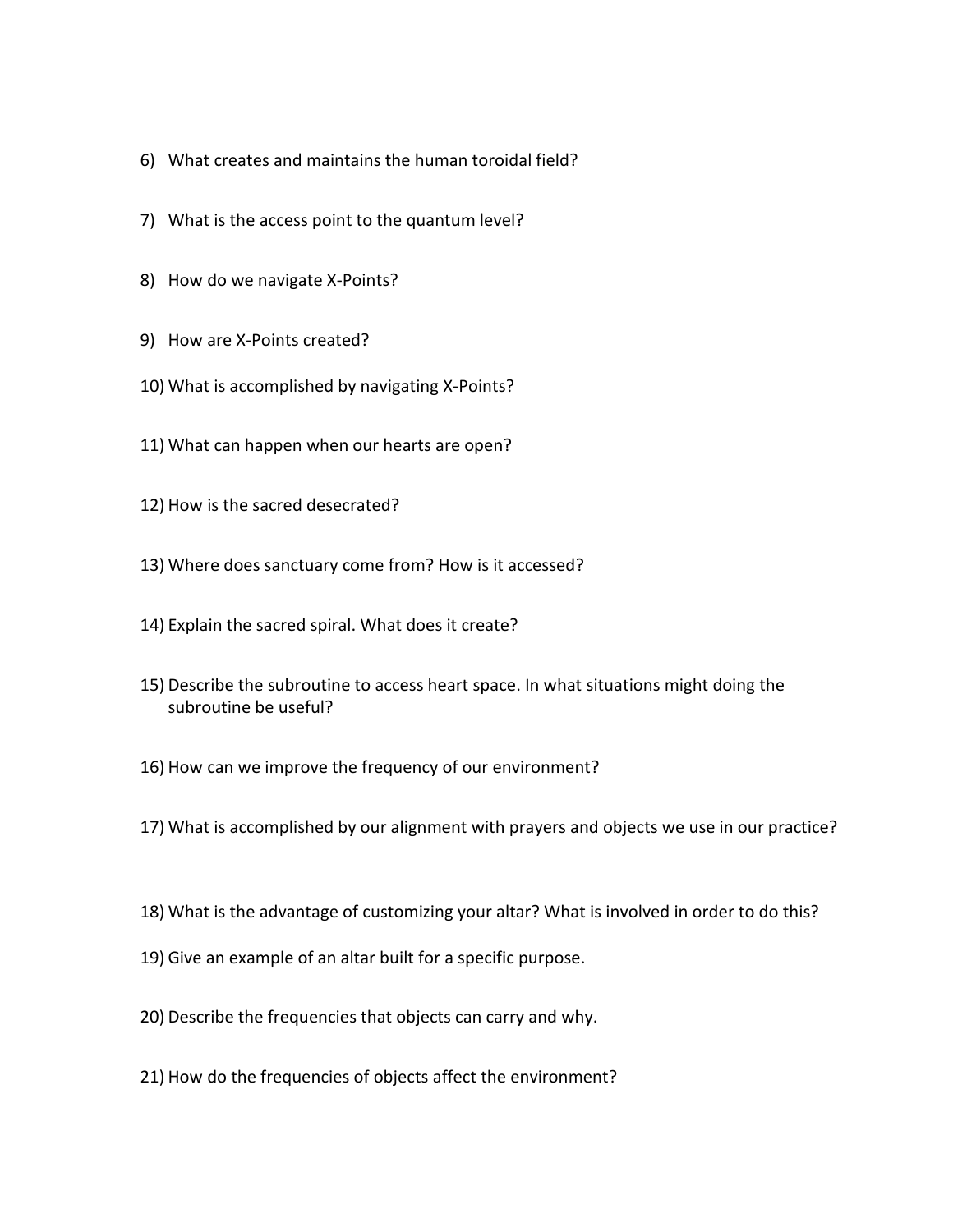- 6) What creates and maintains the human toroidal field?
- 7) What is the access point to the quantum level?
- 8) How do we navigate X-Points?
- 9) How are X-Points created?
- 10) What is accomplished by navigating X-Points?
- 11) What can happen when our hearts are open?
- 12) How is the sacred desecrated?
- 13) Where does sanctuary come from? How is it accessed?
- 14) Explain the sacred spiral. What does it create?
- 15) Describe the subroutine to access heart space. In what situations might doing the subroutine be useful?
- 16) How can we improve the frequency of our environment?
- 17) What is accomplished by our alignment with prayers and objects we use in our practice?
- 18) What is the advantage of customizing your altar? What is involved in order to do this?
- 19) Give an example of an altar built for a specific purpose.
- 20) Describe the frequencies that objects can carry and why.
- 21) How do the frequencies of objects affect the environment?